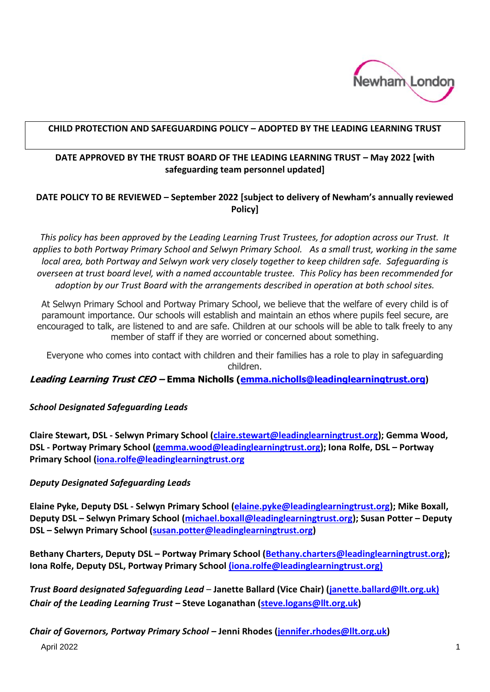

#### **CHILD PROTECTION AND SAFEGUARDING POLICY – ADOPTED BY THE LEADING LEARNING TRUST**

## **DATE APPROVED BY THE TRUST BOARD OF THE LEADING LEARNING TRUST - May 2022 [with safeguarding team personnel updated]**

## **DATE POLICY TO BE REVIEWED – September 2022 [subject to delivery of Newham's annually reviewed Policy]**

*This policy has been approved by the Leading Learning Trust Trustees, for adoption across our Trust. It applies to both Portway Primary School and Selwyn Primary School. As a small trust, working in the same local area, both Portway and Selwyn work very closely together to keep children safe. Safeguarding is overseen at trust board level, with a named accountable trustee. This Policy has been recommended for adoption by our Trust Board with the arrangements described in operation at both school sites.*

At Selwyn Primary School and Portway Primary School, we believe that the welfare of every child is of paramount importance. Our schools will establish and maintain an ethos where pupils feel secure, are encouraged to talk, are listened to and are safe. Children at our schools will be able to talk freely to any member of staff if they are worried or concerned about something.

Everyone who comes into contact with children and their families has a role to play in safeguarding children.

**Leading Learning Trust CEO – Emma Nicholls [\(emma.nicholls@leadinglearningtrust.org](mailto:emma.nicholls@leadinglearningtrust.org))**

#### *School Designated Safeguarding Leads*

**Claire Stewart, DSL - Selwyn Primary School [\(claire.stewart@leadinglearningtrust.org\)](mailto:claire.stewart@leadinglearningtrust.org); Gemma Wood, DSL - Portway Primary School [\(gemma.wood@leadinglearningtrust.org\)](mailto:gemma.wood@leadinglearningtrust.org); Iona Rolfe, DSL – Portway Primary School [\(iona.rolfe@leadinglearningtrust.org](mailto:iona.rolfe@leadinglearningtrust.org)**

#### *Deputy Designated Safeguarding Leads*

**Elaine Pyke, Deputy DSL - Selwyn Primary School [\(elaine.pyke@leadinglearningtrust.org\)](mailto:elaine.pyke@leadinglearningtrust.org); Mike Boxall, Deputy DSL – Selwyn Primary School [\(michael.boxall@leadinglearningtrust.org\)](mailto:michael.boxall@leadinglearningtrust.org); Susan Potter – Deputy DSL – Selwyn Primary School [\(susan.potter@leadinglearningtrust.org\)](mailto:susan.potter@leadinglearningtrust.org)**

**Bethany Charters, Deputy DSL – Portway Primary School [\(Bethany.charters@leadinglearningtrust.org\)](mailto:Bethany.charters@leadinglearningtrust.org); Iona Rolfe, Deputy DSL, Portway Primary School [\(iona.rolfe@leadinglearningtrust.org\)](mailto:iona.rolfe@leadinglearningtrust.org)**

*Trust Board designated Safeguarding Lead* – **Janette Ballard (Vice Chair) (janette.ballard@llt.org.uk)** *Chair of the Leading Learning Trust* **– Steve Loganathan [\(steve.logans@llt.org.uk\)](mailto:steve.logans@llt.org.uk)**

*Chair of Governors, Portway Primary School* **– Jenni Rhodes [\(jennifer.rhodes@llt.org.uk\)](mailto:jennifer.rhodes@llt.org.uk)**

April 2022 1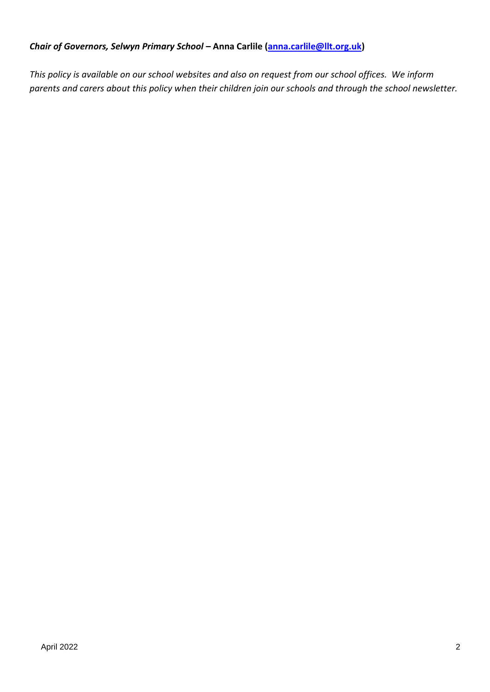## *Chair of Governors, Selwyn Primary School* **– Anna Carlile [\(anna.carlile@llt.org.uk\)](mailto:anna.carlile@llt.org.uk)**

*This policy is available on our school websites and also on request from our school offices. We inform parents and carers about this policy when their children join our schools and through the school newsletter.*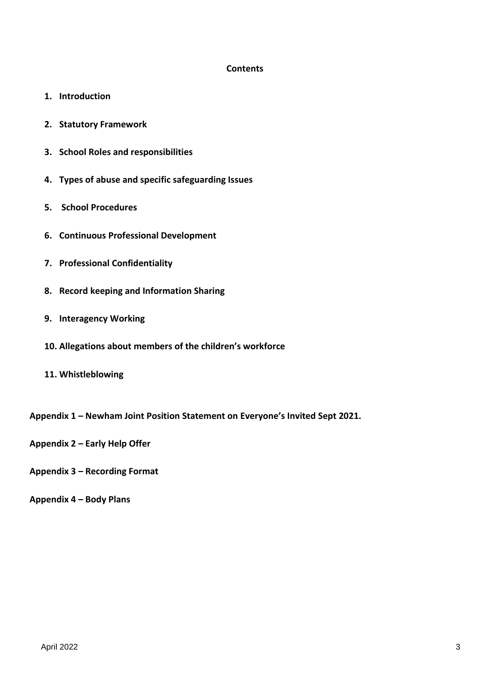#### **Contents**

- **1. Introduction**
- **2. Statutory Framework**
- **3. School Roles and responsibilities**
- **4. Types of abuse and specific safeguarding Issues**
- **5. School Procedures**
- **6. Continuous Professional Development**
- **7. Professional Confidentiality**
- **8. Record keeping and Information Sharing**
- **9. Interagency Working**
- **10. Allegations about members of the children's workforce**
- **11. Whistleblowing**
- **Appendix 1 – Newham Joint Position Statement on Everyone's Invited Sept 2021.**
- **Appendix 2 – Early Help Offer**
- **Appendix 3 – Recording Format**
- **Appendix 4 – Body Plans**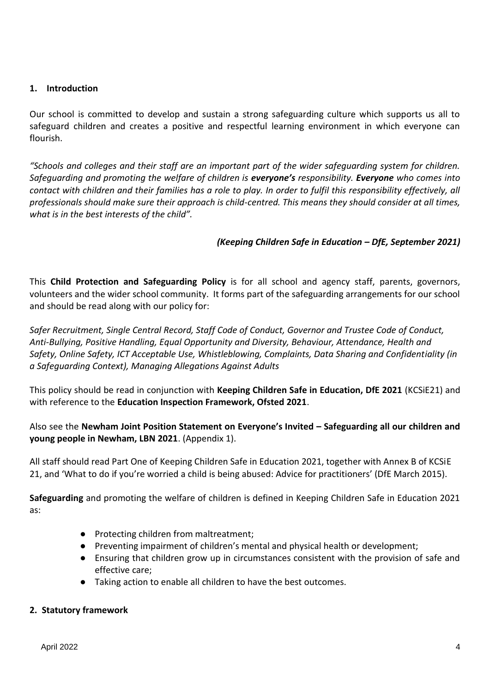#### **1. Introduction**

Our school is committed to develop and sustain a strong safeguarding culture which supports us all to safeguard children and creates a positive and respectful learning environment in which everyone can flourish.

*"Schools and colleges and their staff are an important part of the wider safeguarding system for children. Safeguarding and promoting the welfare of children is everyone's responsibility. Everyone who comes into contact with children and their families has a role to play. In order to fulfil this responsibility effectively, all professionals should make sure their approach is child-centred. This means they should consider at all times, what is in the best interests of the child".*

#### *(Keeping Children Safe in Education – DfE, September 2021)*

This **Child Protection and Safeguarding Policy** is for all school and agency staff, parents, governors, volunteers and the wider school community. It forms part of the safeguarding arrangements for our school and should be read along with our policy for:

*Safer Recruitment, Single Central Record, Staff Code of Conduct, Governor and Trustee Code of Conduct, Anti-Bullying, Positive Handling, Equal Opportunity and Diversity, Behaviour, Attendance, Health and Safety, Online Safety, ICT Acceptable Use, Whistleblowing, Complaints, Data Sharing and Confidentiality (in a Safeguarding Context), Managing Allegations Against Adults*

This policy should be read in conjunction with **Keeping Children Safe in Education, DfE 2021** (KCSiE21) and with reference to the **Education Inspection Framework, Ofsted 2021**.

## Also see the **Newham Joint Position Statement on Everyone's Invited – Safeguarding all our children and young people in Newham, LBN 2021**. (Appendix 1).

All staff should read Part One of Keeping Children Safe in Education 2021, together with Annex B of KCSiE 21, and 'What to do if you're worried a child is being abused: Advice for practitioners' (DfE March 2015).

**Safeguarding** and promoting the welfare of children is defined in Keeping Children Safe in Education 2021 as:

- Protecting children from maltreatment;
- Preventing impairment of children's mental and physical health or development;
- Ensuring that children grow up in circumstances consistent with the provision of safe and effective care;
- Taking action to enable all children to have the best outcomes.

#### **2. Statutory framework**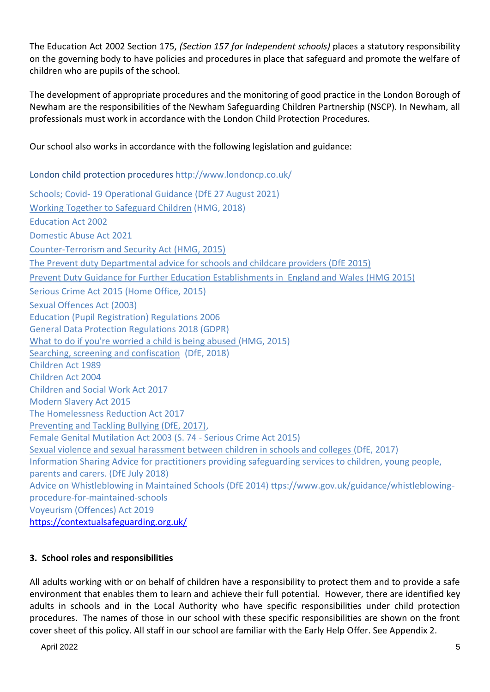The Education Act 2002 Section 175, *(Section 157 for Independent schools)* places a statutory responsibility on the governing body to have policies and procedures in place that safeguard and promote the welfare of children who are pupils of the school.

The development of appropriate procedures and the monitoring of good practice in the London Borough of Newham are the responsibilities of the Newham Safeguarding Children Partnership (NSCP). In Newham, all professionals must work in accordance with the London Child Protection Procedures.

Our school also works in accordance with the following legislation and guidance:

London child protection procedures <http://www.londoncp.co.uk/> Schools; Covid- 19 Operational Guidance (DfE 27 August 2021) [Working Together](https://www.gov.uk/government/uploads/system/uploads/attachment_data/file/419595/Working_Together_to_Safeguard_Children.pdf) to Safeguard Children (HMG, 2018) Education Act 2002 Domestic Abuse Act 2021 [Counter-Terrorism and Security Act \(HMG, 2015\)](http://www.legislation.gov.uk/ukpga/2015/6/contents) The Prevent duty Departmental advice for schools and childcare providers (DfE 2015) Prevent Duty Guidance for Further Education Establishments in England and Wales (HMG 2015) [Serious Crime Act 2015](https://www.gov.uk/government/collections/serious-crime-bill) (Home Office, 2015) Sexual Offences Act (2003) Education (Pupil Registration) Regulations 2006 General Data Protection Regulations 2018 (GDPR) [What to do if you're worried a child is being abused \(](https://www.gov.uk/government/uploads/system/uploads/attachment_data/file/419604/What_to_do_if_you_re_worried_a_child_is_being_abused.pdf)HMG, 2015) [Searching, screening and confiscation](https://assets.publishing.service.gov.uk/government/uploads/system/uploads/attachment_data/file/674416/Searching_screening_and_confiscation.pdf) (DfE, 2018) Children Act 1989 Children Act 2004 Children and Social Work Act 2017 Modern Slavery Act 2015 The Homelessness Reduction Act 2017 [Preventing and Tackling Bullying \(DfE, 2017\),](https://www.gov.uk/government/uploads/system/uploads/attachment_data/file/623895/Preventing_and_tackling_bullying_advice.pdf) Female Genital Mutilation Act 2003 (S. 74 - Serious Crime Act 2015) [Sexual violence and sexual harassment between children in schools and colleges \(](https://www.gov.uk/government/uploads/system/uploads/attachment_data/file/667862/Sexual_Harassment_and_Sexual_Violence_-_Advice.pdf)DfE, 2017) Information Sharing Advice for practitioners providing safeguarding services to children, young people, parents and carers. (DfE July 2018) Advice on Whistleblowing in Maintained Schools (DfE 2014) ttps://www.gov.uk/guidance/whistleblowingprocedure-for-maintained-schools Voyeurism (Offences) Act 2019 <https://contextualsafeguarding.org.uk/>

# **3. School roles and responsibilities**

All adults working with or on behalf of children have a responsibility to protect them and to provide a safe environment that enables them to learn and achieve their full potential. However, there are identified key adults in schools and in the Local Authority who have specific responsibilities under child protection procedures. The names of those in our school with these specific responsibilities are shown on the front cover sheet of this policy. All staff in our school are familiar with the Early Help Offer. See Appendix 2.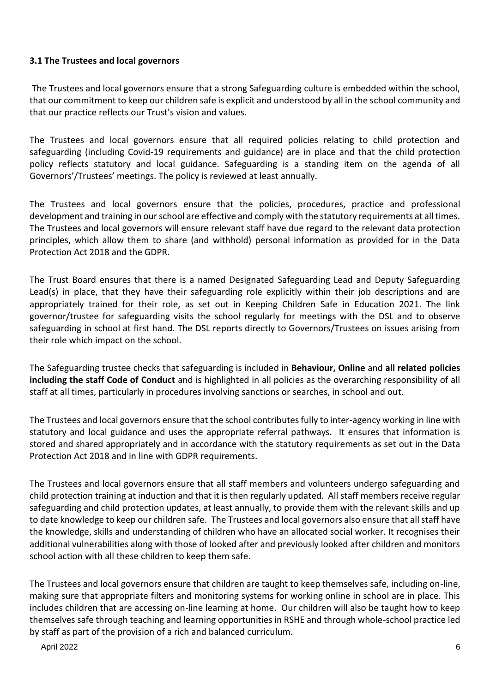#### **3.1 The Trustees and local governors**

The Trustees and local governors ensure that a strong Safeguarding culture is embedded within the school, that our commitment to keep our children safe is explicit and understood by all in the school community and that our practice reflects our Trust's vision and values.

The Trustees and local governors ensure that all required policies relating to child protection and safeguarding (including Covid-19 requirements and guidance) are in place and that the child protection policy reflects statutory and local guidance. Safeguarding is a standing item on the agenda of all Governors'/Trustees' meetings. The policy is reviewed at least annually.

The Trustees and local governors ensure that the policies, procedures, practice and professional development and training in our school are effective and comply with the statutory requirements at all times. The Trustees and local governors will ensure relevant staff have due regard to the relevant data protection principles, which allow them to share (and withhold) personal information as provided for in the Data Protection Act 2018 and the GDPR.

The Trust Board ensures that there is a named Designated Safeguarding Lead and Deputy Safeguarding Lead(s) in place, that they have their safeguarding role explicitly within their job descriptions and are appropriately trained for their role, as set out in Keeping Children Safe in Education 2021. The link governor/trustee for safeguarding visits the school regularly for meetings with the DSL and to observe safeguarding in school at first hand. The DSL reports directly to Governors/Trustees on issues arising from their role which impact on the school.

The Safeguarding trustee checks that safeguarding is included in **Behaviour, Online** and **all related policies including the staff Code of Conduct** and is highlighted in all policies as the overarching responsibility of all staff at all times, particularly in procedures involving sanctions or searches, in school and out.

The Trustees and local governors ensure that the school contributes fully to inter-agency working in line with statutory and local guidance and uses the appropriate referral pathways. It ensures that information is stored and shared appropriately and in accordance with the statutory requirements as set out in the Data Protection Act 2018 and in line with GDPR requirements.

The Trustees and local governors ensure that all staff members and volunteers undergo safeguarding and child protection training at induction and that it is then regularly updated. All staff members receive regular safeguarding and child protection updates, at least annually, to provide them with the relevant skills and up to date knowledge to keep our children safe. The Trustees and local governors also ensure that all staff have the knowledge, skills and understanding of children who have an allocated social worker. It recognises their additional vulnerabilities along with those of looked after and previously looked after children and monitors school action with all these children to keep them safe.

The Trustees and local governors ensure that children are taught to keep themselves safe, including on-line, making sure that appropriate filters and monitoring systems for working online in school are in place. This includes children that are accessing on-line learning at home. Our children will also be taught how to keep themselves safe through teaching and learning opportunities in RSHE and through whole-school practice led by staff as part of the provision of a rich and balanced curriculum.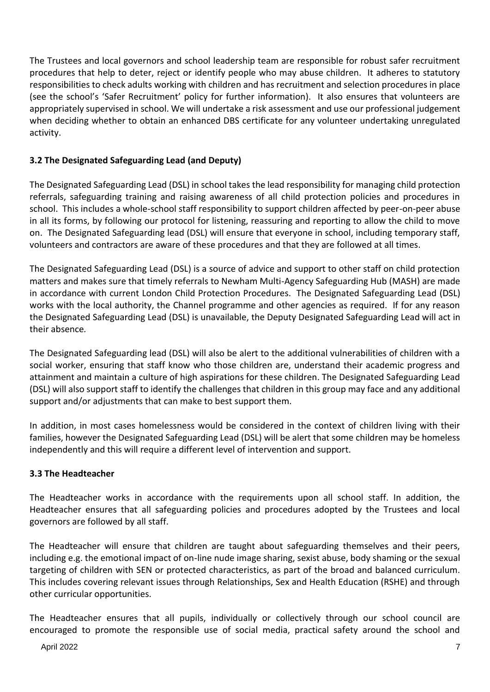The Trustees and local governors and school leadership team are responsible for robust safer recruitment procedures that help to deter, reject or identify people who may abuse children. It adheres to statutory responsibilities to check adults working with children and has recruitment and selection procedures in place (see the school's 'Safer Recruitment' policy for further information). It also ensures that volunteers are appropriately supervised in school. We will undertake a risk assessment and use our professional judgement when deciding whether to obtain an enhanced DBS certificate for any volunteer undertaking unregulated activity.

# **3.2 The Designated Safeguarding Lead (and Deputy)**

The Designated Safeguarding Lead (DSL) in school takes the lead responsibility for managing child protection referrals, safeguarding training and raising awareness of all child protection policies and procedures in school. This includes a whole-school staff responsibility to support children affected by peer-on-peer abuse in all its forms, by following our protocol for listening, reassuring and reporting to allow the child to move on. The Designated Safeguarding lead (DSL) will ensure that everyone in school, including temporary staff, volunteers and contractors are aware of these procedures and that they are followed at all times.

The Designated Safeguarding Lead (DSL) is a source of advice and support to other staff on child protection matters and makes sure that timely referrals to Newham Multi-Agency Safeguarding Hub (MASH) are made in accordance with current London Child Protection Procedures. The Designated Safeguarding Lead (DSL) works with the local authority, the Channel programme and other agencies as required. If for any reason the Designated Safeguarding Lead (DSL) is unavailable, the Deputy Designated Safeguarding Lead will act in their absence*.* 

The Designated Safeguarding lead (DSL) will also be alert to the additional vulnerabilities of children with a social worker, ensuring that staff know who those children are, understand their academic progress and attainment and maintain a culture of high aspirations for these children. The Designated Safeguarding Lead (DSL) will also support staff to identify the challenges that children in this group may face and any additional support and/or adjustments that can make to best support them.

In addition, in most cases homelessness would be considered in the context of children living with their families, however the Designated Safeguarding Lead (DSL) will be alert that some children may be homeless independently and this will require a different level of intervention and support.

# **3.3 The Headteacher**

The Headteacher works in accordance with the requirements upon all school staff. In addition, the Headteacher ensures that all safeguarding policies and procedures adopted by the Trustees and local governors are followed by all staff.

The Headteacher will ensure that children are taught about safeguarding themselves and their peers, including e.g. the emotional impact of on-line nude image sharing, sexist abuse, body shaming or the sexual targeting of children with SEN or protected characteristics, as part of the broad and balanced curriculum. This includes covering relevant issues through Relationships, Sex and Health Education (RSHE) and through other curricular opportunities.

The Headteacher ensures that all pupils, individually or collectively through our school council are encouraged to promote the responsible use of social media, practical safety around the school and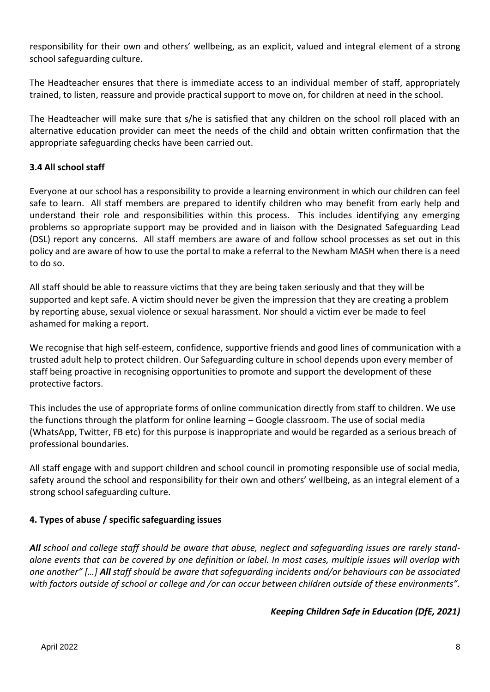responsibility for their own and others' wellbeing, as an explicit, valued and integral element of a strong school safeguarding culture.

The Headteacher ensures that there is immediate access to an individual member of staff, appropriately trained, to listen, reassure and provide practical support to move on, for children at need in the school.

The Headteacher will make sure that s/he is satisfied that any children on the school roll placed with an alternative education provider can meet the needs of the child and obtain written confirmation that the appropriate safeguarding checks have been carried out.

## **3.4 All school staff**

Everyone at our school has a responsibility to provide a learning environment in which our children can feel safe to learn. All staff members are prepared to identify children who may benefit from early help and understand their role and responsibilities within this process. This includes identifying any emerging problems so appropriate support may be provided and in liaison with the Designated Safeguarding Lead (DSL) report any concerns. All staff members are aware of and follow school processes as set out in this policy and are aware of how to use the portal to make a referral to the Newham MASH when there is a need to do so.

All staff should be able to reassure victims that they are being taken seriously and that they will be supported and kept safe. A victim should never be given the impression that they are creating a problem by reporting abuse, sexual violence or sexual harassment. Nor should a victim ever be made to feel ashamed for making a report.

We recognise that high self-esteem, confidence, supportive friends and good lines of communication with a trusted adult help to protect children. Our Safeguarding culture in school depends upon every member of staff being proactive in recognising opportunities to promote and support the development of these protective factors.

This includes the use of appropriate forms of online communication directly from staff to children. We use the functions through the platform for online learning – Google classroom. The use of social media (WhatsApp, Twitter, FB etc) for this purpose is inappropriate and would be regarded as a serious breach of professional boundaries.

All staff engage with and support children and school council in promoting responsible use of social media, safety around the school and responsibility for their own and others' wellbeing, as an integral element of a strong school safeguarding culture.

## **4. Types of abuse / specific safeguarding issues**

*All school and college staff should be aware that abuse, neglect and safeguarding issues are rarely standalone events that can be covered by one definition or label. In most cases, multiple issues will overlap with one another" […] All staff should be aware that safeguarding incidents and/or behaviours can be associated with factors outside of school or college and /or can occur between children outside of these environments".*

## *Keeping Children Safe in Education (DfE, 2021)*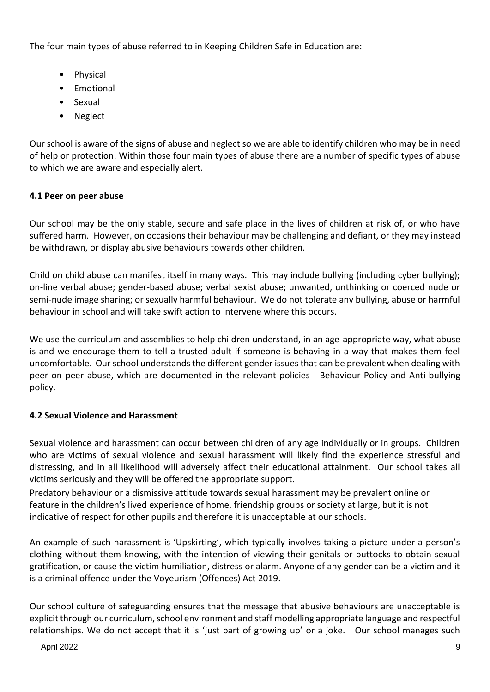The four main types of abuse referred to in Keeping Children Safe in Education are:

- Physical
- Emotional
- Sexual
- Neglect

Our school is aware of the signs of abuse and neglect so we are able to identify children who may be in need of help or protection. Within those four main types of abuse there are a number of specific types of abuse to which we are aware and especially alert.

# **4.1 Peer on peer abuse**

Our school may be the only stable, secure and safe place in the lives of children at risk of, or who have suffered harm. However, on occasions their behaviour may be challenging and defiant, or they may instead be withdrawn, or display abusive behaviours towards other children.

Child on child abuse can manifest itself in many ways. This may include bullying (including cyber bullying); on-line verbal abuse; gender-based abuse; verbal sexist abuse; unwanted, unthinking or coerced nude or semi-nude image sharing; or sexually harmful behaviour. We do not tolerate any bullying, abuse or harmful behaviour in school and will take swift action to intervene where this occurs.

We use the curriculum and assemblies to help children understand, in an age-appropriate way, what abuse is and we encourage them to tell a trusted adult if someone is behaving in a way that makes them feel uncomfortable. Our school understands the different gender issues that can be prevalent when dealing with peer on peer abuse, which are documented in the relevant policies - Behaviour Policy and Anti-bullying policy.

## **4.2 Sexual Violence and Harassment**

Sexual violence and harassment can occur between children of any age individually or in groups. Children who are victims of sexual violence and sexual harassment will likely find the experience stressful and distressing, and in all likelihood will adversely affect their educational attainment. Our school takes all victims seriously and they will be offered the appropriate support.

Predatory behaviour or a dismissive attitude towards sexual harassment may be prevalent online or feature in the children's lived experience of home, friendship groups or society at large, but it is not indicative of respect for other pupils and therefore it is unacceptable at our schools.

An example of such harassment is 'Upskirting', which typically involves taking a picture under a person's clothing without them knowing, with the intention of viewing their genitals or buttocks to obtain sexual gratification, or cause the victim humiliation, distress or alarm. Anyone of any gender can be a victim and it is a criminal offence under the Voyeurism (Offences) Act 2019.

Our school culture of safeguarding ensures that the message that abusive behaviours are unacceptable is explicit through our curriculum, school environment and staff modelling appropriate language and respectful relationships. We do not accept that it is 'just part of growing up' or a joke. Our school manages such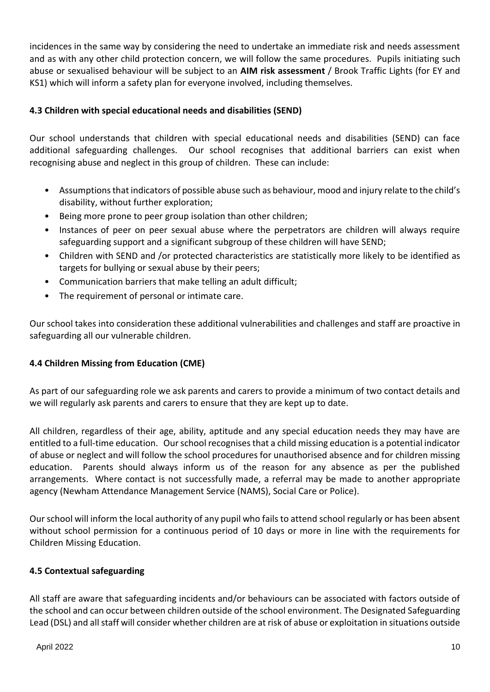incidences in the same way by considering the need to undertake an immediate risk and needs assessment and as with any other child protection concern, we will follow the same procedures. Pupils initiating such abuse or sexualised behaviour will be subject to an **AIM risk assessment** / Brook Traffic Lights (for EY and KS1) which will inform a safety plan for everyone involved, including themselves.

## **4.3 Children with special educational needs and disabilities (SEND)**

Our school understands that children with special educational needs and disabilities (SEND) can face additional safeguarding challenges. Our school recognises that additional barriers can exist when recognising abuse and neglect in this group of children. These can include:

- Assumptions that indicators of possible abuse such as behaviour, mood and injury relate to the child's disability, without further exploration;
- Being more prone to peer group isolation than other children;
- Instances of peer on peer sexual abuse where the perpetrators are children will always require safeguarding support and a significant subgroup of these children will have SEND;
- Children with SEND and /or protected characteristics are statistically more likely to be identified as targets for bullying or sexual abuse by their peers;
- Communication barriers that make telling an adult difficult;
- The requirement of personal or intimate care.

Our school takes into consideration these additional vulnerabilities and challenges and staff are proactive in safeguarding all our vulnerable children.

## **4.4 Children Missing from Education (CME)**

As part of our safeguarding role we ask parents and carers to provide a minimum of two contact details and we will regularly ask parents and carers to ensure that they are kept up to date.

All children, regardless of their age, ability, aptitude and any special education needs they may have are entitled to a full-time education. Our school recognises that a child missing education is a potential indicator of abuse or neglect and will follow the school procedures for unauthorised absence and for children missing education. Parents should always inform us of the reason for any absence as per the published arrangements. Where contact is not successfully made, a referral may be made to another appropriate agency (Newham Attendance Management Service (NAMS), Social Care or Police).

Our school will inform the local authority of any pupil who fails to attend school regularly or has been absent without school permission for a continuous period of 10 days or more in line with the requirements for Children Missing Education.

## **4.5 Contextual safeguarding**

All staff are aware that safeguarding incidents and/or behaviours can be associated with factors outside of the school and can occur between children outside of the school environment. The Designated Safeguarding Lead (DSL) and all staff will consider whether children are at risk of abuse or exploitation in situations outside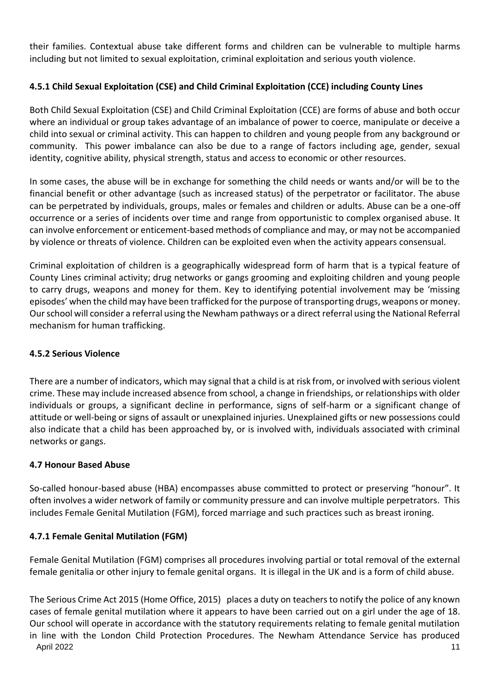their families. Contextual abuse take different forms and children can be vulnerable to multiple harms including but not limited to sexual exploitation, criminal exploitation and serious youth violence.

# **4.5.1 Child Sexual Exploitation (CSE) and Child Criminal Exploitation (CCE) including County Lines**

Both Child Sexual Exploitation (CSE) and Child Criminal Exploitation (CCE) are forms of abuse and both occur where an individual or group takes advantage of an imbalance of power to coerce, manipulate or deceive a child into sexual or criminal activity. This can happen to children and young people from any background or community. This power imbalance can also be due to a range of factors including age, gender, sexual identity, cognitive ability, physical strength, status and access to economic or other resources.

In some cases, the abuse will be in exchange for something the child needs or wants and/or will be to the financial benefit or other advantage (such as increased status) of the perpetrator or facilitator. The abuse can be perpetrated by individuals, groups, males or females and children or adults. Abuse can be a one-off occurrence or a series of incidents over time and range from opportunistic to complex organised abuse. It can involve enforcement or enticement-based methods of compliance and may, or may not be accompanied by violence or threats of violence. Children can be exploited even when the activity appears consensual.

Criminal exploitation of children is a geographically widespread form of harm that is a typical feature of County Lines criminal activity; drug networks or gangs grooming and exploiting children and young people to carry drugs, weapons and money for them. Key to identifying potential involvement may be 'missing episodes' when the child may have been trafficked for the purpose of transporting drugs, weapons or money. Our school will consider a referral using the Newham pathways or a direct referral using the National Referral mechanism for human trafficking.

# **4.5.2 Serious Violence**

There are a number of indicators, which may signal that a child is at risk from, or involved with serious violent crime. These may include increased absence from school, a change in friendships, or relationships with older individuals or groups, a significant decline in performance, signs of self-harm or a significant change of attitude or well-being or signs of assault or unexplained injuries. Unexplained gifts or new possessions could also indicate that a child has been approached by, or is involved with, individuals associated with criminal networks or gangs.

## **4.7 Honour Based Abuse**

So-called honour-based abuse (HBA) encompasses abuse committed to protect or preserving "honour". It often involves a wider network of family or community pressure and can involve multiple perpetrators. This includes Female Genital Mutilation (FGM), forced marriage and such practices such as breast ironing.

# **4.7.1 Female Genital Mutilation (FGM)**

Female Genital Mutilation (FGM) comprises all procedures involving partial or total removal of the external female genitalia or other injury to female genital organs. It is illegal in the UK and is a form of child abuse.

April 2022 11 The Serious Crime Act 2015 (Home Office, 2015) places a duty on teachers to notify the police of any known cases of female genital mutilation where it appears to have been carried out on a girl under the age of 18. Our school will operate in accordance with the statutory requirements relating to female genital mutilation in line with the London Child Protection Procedures. The Newham Attendance Service has produced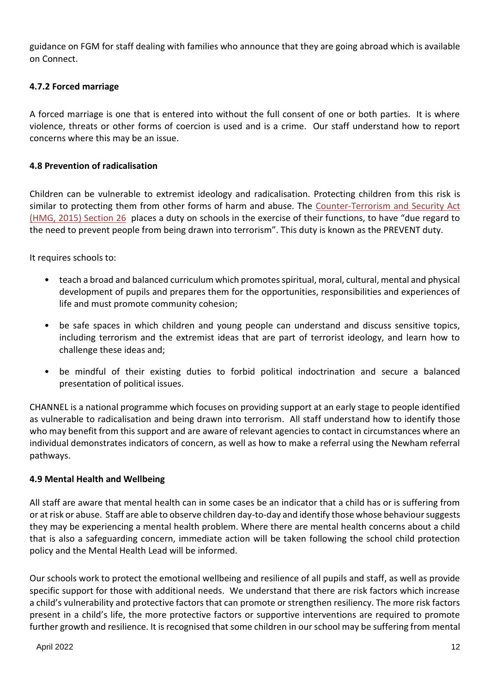guidance on FGM for staff dealing with families who announce that they are going abroad which is available on Connect.

## **4.7.2 Forced marriage**

A forced marriage is one that is entered into without the full consent of one or both parties. It is where violence, threats or other forms of coercion is used and is a crime. Our staff understand how to report concerns where this may be an issue.

#### **4.8 Prevention of radicalisation**

Children can be vulnerable to extremist ideology and radicalisation. Protecting children from this risk is similar to protecting them from other forms of harm and abuse. The [Counter-Terrorism and Security Act](http://www.legislation.gov.uk/ukpga/2015/6/contents)  [\(HMG, 2015\)](http://www.legislation.gov.uk/ukpga/2015/6/contents) Section 26 places a duty on schools in the exercise of their functions, to have "due regard to the need to prevent people from being drawn into terrorism". This duty is known as the PREVENT duty.

It requires schools to:

- teach a broad and balanced curriculum which promotes spiritual, moral, cultural, mental and physical development of pupils and prepares them for the opportunities, responsibilities and experiences of life and must promote community cohesion;
- be safe spaces in which children and young people can understand and discuss sensitive topics, including terrorism and the extremist ideas that are part of terrorist ideology, and learn how to challenge these ideas and;
- be mindful of their existing duties to forbid political indoctrination and secure a balanced presentation of political issues.

CHANNEL is a national programme which focuses on providing support at an early stage to people identified as vulnerable to radicalisation and being drawn into terrorism. All staff understand how to identify those who may benefit from this support and are aware of relevant agencies to contact in circumstances where an individual demonstrates indicators of concern, as well as how to make a referral using the Newham referral pathways.

#### **4.9 Mental Health and Wellbeing**

All staff are aware that mental health can in some cases be an indicator that a child has or is suffering from or at risk or abuse. Staff are able to observe children day-to-day and identify those whose behaviour suggests they may be experiencing a mental health problem. Where there are mental health concerns about a child that is also a safeguarding concern, immediate action will be taken following the school child protection policy and the Mental Health Lead will be informed.

Our schools work to protect the emotional wellbeing and resilience of all pupils and staff, as well as provide specific support for those with additional needs. We understand that there are risk factors which increase a child's vulnerability and protective factors that can promote or strengthen resiliency. The more risk factors present in a child's life, the more protective factors or supportive interventions are required to promote further growth and resilience. It is recognised that some children in our school may be suffering from mental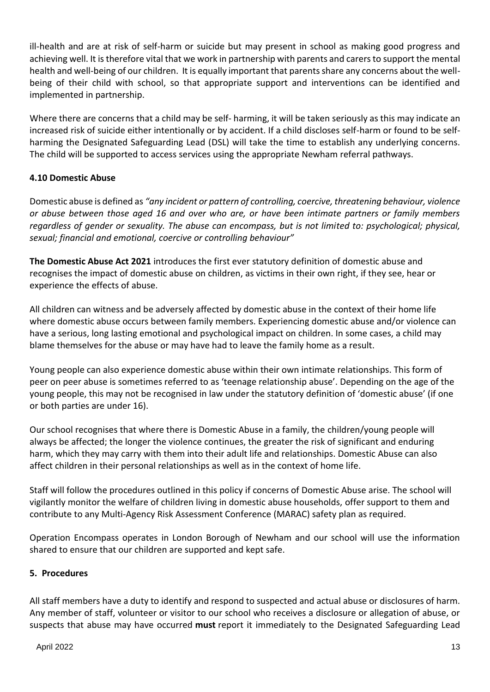ill-health and are at risk of self-harm or suicide but may present in school as making good progress and achieving well. It is therefore vital that we work in partnership with parents and carers to support the mental health and well-being of our children. It is equally important that parents share any concerns about the wellbeing of their child with school, so that appropriate support and interventions can be identified and implemented in partnership.

Where there are concerns that a child may be self- harming, it will be taken seriously as this may indicate an increased risk of suicide either intentionally or by accident. If a child discloses self-harm or found to be selfharming the Designated Safeguarding Lead (DSL) will take the time to establish any underlying concerns. The child will be supported to access services using the appropriate Newham referral pathways.

# **4.10 Domestic Abuse**

Domestic abuse is defined as *"any incident or pattern of controlling, coercive, threatening behaviour, violence or abuse between those aged 16 and over who are, or have been intimate partners or family members regardless of gender or sexuality. The abuse can encompass, but is not limited to: psychological; physical, sexual; financial and emotional, coercive or controlling behaviour"* 

**The Domestic Abuse Act 2021** introduces the first ever statutory definition of domestic abuse and recognises the impact of domestic abuse on children, as victims in their own right, if they see, hear or experience the effects of abuse.

All children can witness and be adversely affected by domestic abuse in the context of their home life where domestic abuse occurs between family members. Experiencing domestic abuse and/or violence can have a serious, long lasting emotional and psychological impact on children. In some cases, a child may blame themselves for the abuse or may have had to leave the family home as a result.

Young people can also experience domestic abuse within their own intimate relationships. This form of peer on peer abuse is sometimes referred to as 'teenage relationship abuse'. Depending on the age of the young people, this may not be recognised in law under the statutory definition of 'domestic abuse' (if one or both parties are under 16).

Our school recognises that where there is Domestic Abuse in a family, the children/young people will always be affected; the longer the violence continues, the greater the risk of significant and enduring harm, which they may carry with them into their adult life and relationships. Domestic Abuse can also affect children in their personal relationships as well as in the context of home life.

Staff will follow the procedures outlined in this policy if concerns of Domestic Abuse arise. The school will vigilantly monitor the welfare of children living in domestic abuse households, offer support to them and contribute to any Multi-Agency Risk Assessment Conference (MARAC) safety plan as required.

Operation Encompass operates in London Borough of Newham and our school will use the information shared to ensure that our children are supported and kept safe.

## **5. Procedures**

All staff members have a duty to identify and respond to suspected and actual abuse or disclosures of harm. Any member of staff, volunteer or visitor to our school who receives a disclosure or allegation of abuse, or suspects that abuse may have occurred **must** report it immediately to the Designated Safeguarding Lead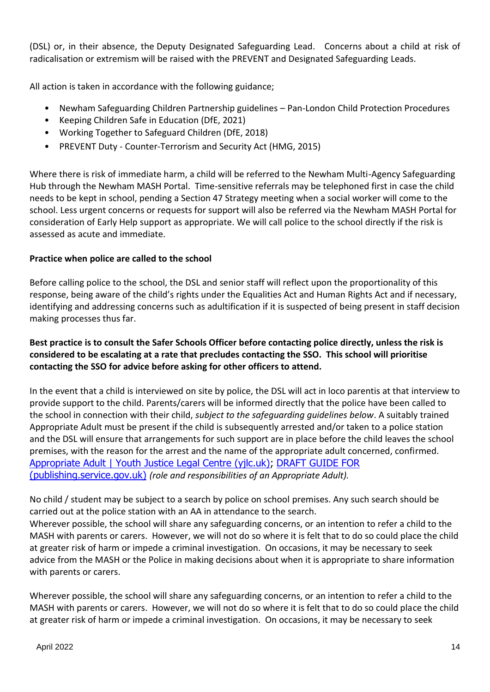(DSL) or, in their absence, the Deputy Designated Safeguarding Lead. Concerns about a child at risk of radicalisation or extremism will be raised with the PREVENT and Designated Safeguarding Leads.

All action is taken in accordance with the following guidance;

- Newham Safeguarding Children Partnership guidelines Pan-London Child Protection Procedures
- Keeping Children Safe in Education (DfE, 2021)
- Working Together to Safeguard Children (DfE, 2018)
- PREVENT Duty Counter-Terrorism and Security Act (HMG, 2015)

Where there is risk of immediate harm, a child will be referred to the Newham Multi-Agency Safeguarding Hub through the Newham MASH Portal. Time-sensitive referrals may be telephoned first in case the child needs to be kept in school, pending a Section 47 Strategy meeting when a social worker will come to the school. Less urgent concerns or requests for support will also be referred via the Newham MASH Portal for consideration of Early Help support as appropriate. We will call police to the school directly if the risk is assessed as acute and immediate.

## **Practice when police are called to the school**

Before calling police to the school, the DSL and senior staff will reflect upon the proportionality of this response, being aware of the child's rights under the Equalities Act and Human Rights Act and if necessary, identifying and addressing concerns such as adultification if it is suspected of being present in staff decision making processes thus far.

## **Best practice is to consult the Safer Schools Officer before contacting police directly, unless the risk is considered to be escalating at a rate that precludes contacting the SSO. This school will prioritise contacting the SSO for advice before asking for other officers to attend.**

In the event that a child is interviewed on site by police, the DSL will act in loco parentis at that interview to provide support to the child. Parents/carers will be informed directly that the police have been called to the school in connection with their child, *subject to the safeguarding guidelines below*. A suitably trained Appropriate Adult must be present if the child is subsequently arrested and/or taken to a police station and the DSL will ensure that arrangements for such support are in place before the child leaves the school premises, with the reason for the arrest and the name of the appropriate adult concerned, confirmed. [Appropriate Adult | Youth Justice Legal Centre \(yjlc.uk\);](https://yjlc.uk/resources/legal-terms-z/appropriate-adult) [DRAFT GUIDE FOR](https://assets.publishing.service.gov.uk/government/uploads/system/uploads/attachment_data/file/117682/appropriate-adults-guide.pdf)  [\(publishing.service.gov.uk\)](https://assets.publishing.service.gov.uk/government/uploads/system/uploads/attachment_data/file/117682/appropriate-adults-guide.pdf) *(role and responsibilities of an Appropriate Adult).*

No child / student may be subject to a search by police on school premises. Any such search should be carried out at the police station with an AA in attendance to the search.

Wherever possible, the school will share any safeguarding concerns, or an intention to refer a child to the MASH with parents or carers. However, we will not do so where it is felt that to do so could place the child at greater risk of harm or impede a criminal investigation. On occasions, it may be necessary to seek advice from the MASH or the Police in making decisions about when it is appropriate to share information with parents or carers.

Wherever possible, the school will share any safeguarding concerns, or an intention to refer a child to the MASH with parents or carers. However, we will not do so where it is felt that to do so could place the child at greater risk of harm or impede a criminal investigation. On occasions, it may be necessary to seek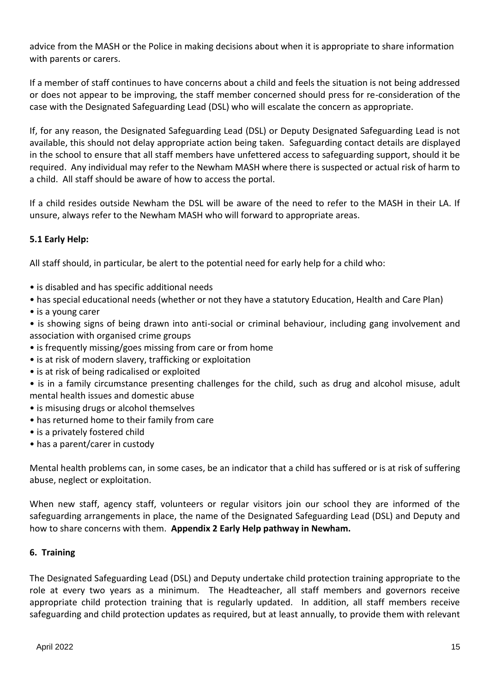advice from the MASH or the Police in making decisions about when it is appropriate to share information with parents or carers.

If a member of staff continues to have concerns about a child and feels the situation is not being addressed or does not appear to be improving, the staff member concerned should press for re-consideration of the case with the Designated Safeguarding Lead (DSL) who will escalate the concern as appropriate.

If, for any reason, the Designated Safeguarding Lead (DSL) or Deputy Designated Safeguarding Lead is not available, this should not delay appropriate action being taken. Safeguarding contact details are displayed in the school to ensure that all staff members have unfettered access to safeguarding support, should it be required. Any individual may refer to the Newham MASH where there is suspected or actual risk of harm to a child. All staff should be aware of how to access the portal.

If a child resides outside Newham the DSL will be aware of the need to refer to the MASH in their LA. If unsure, always refer to the Newham MASH who will forward to appropriate areas.

## **5.1 Early Help:**

All staff should, in particular, be alert to the potential need for early help for a child who:

- is disabled and has specific additional needs
- has special educational needs (whether or not they have a statutory Education, Health and Care Plan)
- is a young carer
- is showing signs of being drawn into anti-social or criminal behaviour, including gang involvement and association with organised crime groups
- is frequently missing/goes missing from care or from home
- is at risk of modern slavery, trafficking or exploitation
- is at risk of being radicalised or exploited
- is in a family circumstance presenting challenges for the child, such as drug and alcohol misuse, adult mental health issues and domestic abuse
- is misusing drugs or alcohol themselves
- has returned home to their family from care
- is a privately fostered child
- has a parent/carer in custody

Mental health problems can, in some cases, be an indicator that a child has suffered or is at risk of suffering abuse, neglect or exploitation.

When new staff, agency staff, volunteers or regular visitors join our school they are informed of the safeguarding arrangements in place, the name of the Designated Safeguarding Lead (DSL) and Deputy and how to share concerns with them. **Appendix 2 Early Help pathway in Newham.**

## **6. Training**

The Designated Safeguarding Lead (DSL) and Deputy undertake child protection training appropriate to the role at every two years as a minimum. The Headteacher, all staff members and governors receive appropriate child protection training that is regularly updated. In addition, all staff members receive safeguarding and child protection updates as required, but at least annually, to provide them with relevant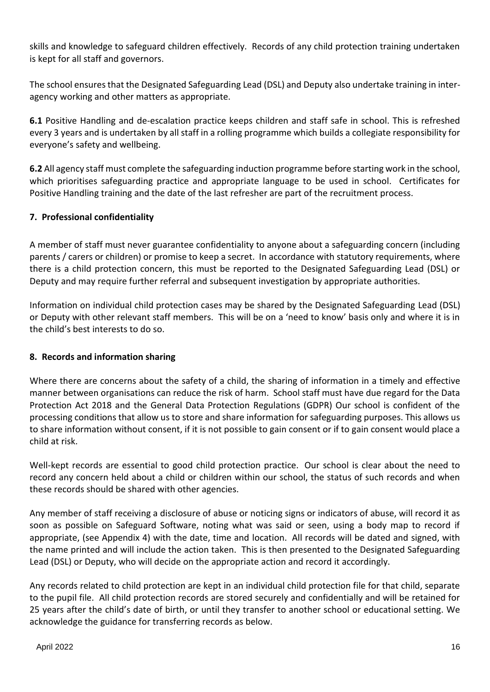skills and knowledge to safeguard children effectively. Records of any child protection training undertaken is kept for all staff and governors.

The school ensures that the Designated Safeguarding Lead (DSL) and Deputy also undertake training in interagency working and other matters as appropriate.

**6.1** Positive Handling and de-escalation practice keeps children and staff safe in school. This is refreshed every 3 years and is undertaken by all staff in a rolling programme which builds a collegiate responsibility for everyone's safety and wellbeing.

**6.2** All agency staff must complete the safeguarding induction programme before starting work in the school, which prioritises safeguarding practice and appropriate language to be used in school. Certificates for Positive Handling training and the date of the last refresher are part of the recruitment process.

## **7. Professional confidentiality**

A member of staff must never guarantee confidentiality to anyone about a safeguarding concern (including parents / carers or children) or promise to keep a secret. In accordance with statutory requirements, where there is a child protection concern, this must be reported to the Designated Safeguarding Lead (DSL) or Deputy and may require further referral and subsequent investigation by appropriate authorities.

Information on individual child protection cases may be shared by the Designated Safeguarding Lead (DSL) or Deputy with other relevant staff members. This will be on a 'need to know' basis only and where it is in the child's best interests to do so.

## **8. Records and information sharing**

Where there are concerns about the safety of a child, the sharing of information in a timely and effective manner between organisations can reduce the risk of harm. School staff must have due regard for the Data Protection Act 2018 and the General Data Protection Regulations (GDPR) Our school is confident of the processing conditions that allow us to store and share information for safeguarding purposes. This allows us to share information without consent, if it is not possible to gain consent or if to gain consent would place a child at risk.

Well-kept records are essential to good child protection practice. Our school is clear about the need to record any concern held about a child or children within our school, the status of such records and when these records should be shared with other agencies.

Any member of staff receiving a disclosure of abuse or noticing signs or indicators of abuse, will record it as soon as possible on Safeguard Software, noting what was said or seen, using a body map to record if appropriate, (see Appendix 4) with the date, time and location. All records will be dated and signed, with the name printed and will include the action taken. This is then presented to the Designated Safeguarding Lead (DSL) or Deputy, who will decide on the appropriate action and record it accordingly.

Any records related to child protection are kept in an individual child protection file for that child, separate to the pupil file. All child protection records are stored securely and confidentially and will be retained for 25 years after the child's date of birth, or until they transfer to another school or educational setting. We acknowledge the guidance for transferring records as below.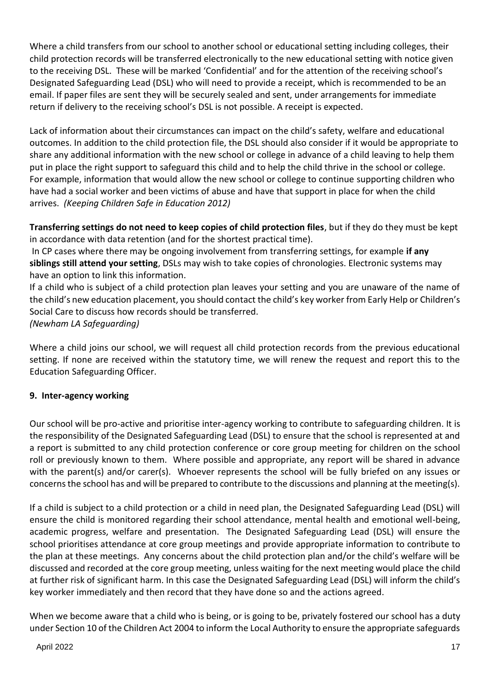Where a child transfers from our school to another school or educational setting including colleges, their child protection records will be transferred electronically to the new educational setting with notice given to the receiving DSL. These will be marked 'Confidential' and for the attention of the receiving school's Designated Safeguarding Lead (DSL) who will need to provide a receipt, which is recommended to be an email. If paper files are sent they will be securely sealed and sent, under arrangements for immediate return if delivery to the receiving school's DSL is not possible. A receipt is expected.

Lack of information about their circumstances can impact on the child's safety, welfare and educational outcomes. In addition to the child protection file, the DSL should also consider if it would be appropriate to share any additional information with the new school or college in advance of a child leaving to help them put in place the right support to safeguard this child and to help the child thrive in the school or college. For example, information that would allow the new school or college to continue supporting children who have had a social worker and been victims of abuse and have that support in place for when the child arrives. *(Keeping Children Safe in Education 2012)*

**Transferring settings do not need to keep copies of child protection files**, but if they do they must be kept in accordance with data retention (and for the shortest practical time).

In CP cases where there may be ongoing involvement from transferring settings, for example **if any siblings still attend your setting**, DSLs may wish to take copies of chronologies. Electronic systems may have an option to link this information.

If a child who is subject of a child protection plan leaves your setting and you are unaware of the name of the child's new education placement, you should contact the child's key worker from Early Help or Children's Social Care to discuss how records should be transferred.

*(Newham LA Safeguarding)*

Where a child joins our school, we will request all child protection records from the previous educational setting. If none are received within the statutory time, we will renew the request and report this to the Education Safeguarding Officer.

## **9. Inter-agency working**

Our school will be pro-active and prioritise inter-agency working to contribute to safeguarding children. It is the responsibility of the Designated Safeguarding Lead (DSL) to ensure that the school is represented at and a report is submitted to any child protection conference or core group meeting for children on the school roll or previously known to them. Where possible and appropriate, any report will be shared in advance with the parent(s) and/or carer(s). Whoever represents the school will be fully briefed on any issues or concerns the school has and will be prepared to contribute to the discussions and planning at the meeting(s).

If a child is subject to a child protection or a child in need plan, the Designated Safeguarding Lead (DSL) will ensure the child is monitored regarding their school attendance, mental health and emotional well-being, academic progress, welfare and presentation. The Designated Safeguarding Lead (DSL) will ensure the school prioritises attendance at core group meetings and provide appropriate information to contribute to the plan at these meetings. Any concerns about the child protection plan and/or the child's welfare will be discussed and recorded at the core group meeting, unless waiting for the next meeting would place the child at further risk of significant harm. In this case the Designated Safeguarding Lead (DSL) will inform the child's key worker immediately and then record that they have done so and the actions agreed.

When we become aware that a child who is being, or is going to be, privately fostered our school has a duty under Section 10 of the Children Act 2004 to inform the Local Authority to ensure the appropriate safeguards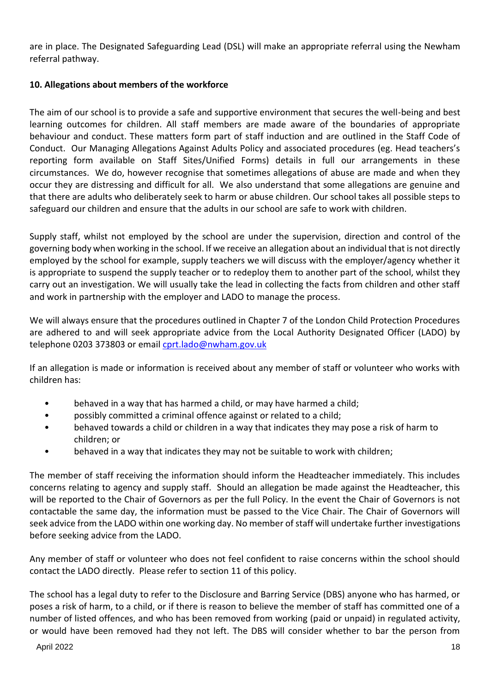are in place. The Designated Safeguarding Lead (DSL) will make an appropriate referral using the Newham referral pathway.

# **10. Allegations about members of the workforce**

The aim of our school is to provide a safe and supportive environment that secures the well-being and best learning outcomes for children. All staff members are made aware of the boundaries of appropriate behaviour and conduct. These matters form part of staff induction and are outlined in the Staff Code of Conduct. Our Managing Allegations Against Adults Policy and associated procedures (eg. Head teachers's reporting form available on Staff Sites/Unified Forms) details in full our arrangements in these circumstances. We do, however recognise that sometimes allegations of abuse are made and when they occur they are distressing and difficult for all. We also understand that some allegations are genuine and that there are adults who deliberately seek to harm or abuse children. Our school takes all possible steps to safeguard our children and ensure that the adults in our school are safe to work with children.

Supply staff, whilst not employed by the school are under the supervision, direction and control of the governing body when working in the school. If we receive an allegation about an individual that is not directly employed by the school for example, supply teachers we will discuss with the employer/agency whether it is appropriate to suspend the supply teacher or to redeploy them to another part of the school, whilst they carry out an investigation. We will usually take the lead in collecting the facts from children and other staff and work in partnership with the employer and LADO to manage the process.

We will always ensure that the procedures outlined in Chapter 7 of the London Child Protection Procedures are adhered to and will seek appropriate advice from the Local Authority Designated Officer (LADO) by telephone 0203 373803 or email [cprt.lado@nwham.gov.uk](mailto:cprt.lado@nwham.gov.uk)

If an allegation is made or information is received about any member of staff or volunteer who works with children has:

- behaved in a way that has harmed a child, or may have harmed a child;
- possibly committed a criminal offence against or related to a child;
- behaved towards a child or children in a way that indicates they may pose a risk of harm to children; or
- behaved in a way that indicates they may not be suitable to work with children;

The member of staff receiving the information should inform the Headteacher immediately. This includes concerns relating to agency and supply staff. Should an allegation be made against the Headteacher, this will be reported to the Chair of Governors as per the full Policy. In the event the Chair of Governors is not contactable the same day, the information must be passed to the Vice Chair. The Chair of Governors will seek advice from the LADO within one working day. No member of staff will undertake further investigations before seeking advice from the LADO.

Any member of staff or volunteer who does not feel confident to raise concerns within the school should contact the LADO directly. Please refer to section 11 of this policy.

The school has a legal duty to refer to the Disclosure and Barring Service (DBS) anyone who has harmed, or poses a risk of harm, to a child, or if there is reason to believe the member of staff has committed one of a number of listed offences, and who has been removed from working (paid or unpaid) in regulated activity, or would have been removed had they not left. The DBS will consider whether to bar the person from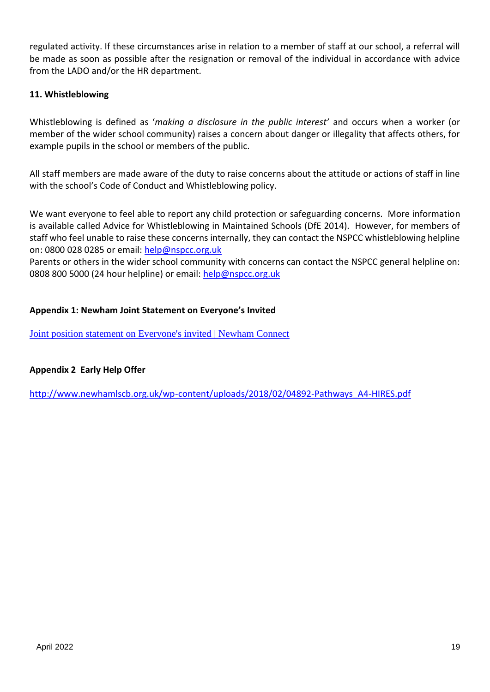regulated activity. If these circumstances arise in relation to a member of staff at our school, a referral will be made as soon as possible after the resignation or removal of the individual in accordance with advice from the LADO and/or the HR department.

#### **11. Whistleblowing**

Whistleblowing is defined as '*making a disclosure in the public interest'* and occurs when a worker (or member of the wider school community) raises a concern about danger or illegality that affects others, for example pupils in the school or members of the public.

All staff members are made aware of the duty to raise concerns about the attitude or actions of staff in line with the school's Code of Conduct and Whistleblowing policy.

We want everyone to feel able to report any child protection or safeguarding concerns. More information is available called Advice for Whistleblowing in Maintained Schools (DfE 2014). However, for members of staff who feel unable to raise these concerns internally, they can contact the NSPCC whistleblowing helpline on: 0800 028 0285 or email: [help@nspcc.org.uk](mailto:help@nspcc.org.uk)

Parents or others in the wider school community with concerns can contact the NSPCC general helpline on: 0808 800 5000 (24 hour helpline) or email: [help@nspcc.org.uk](mailto:help@nspcc.org.uk)

#### **Appendix 1: Newham Joint Statement on Everyone's Invited**

[Joint position statement on Everyone's invited | Newham Connect](https://www.newhamconnect.uk/Article/90305)

#### **Appendix 2 Early Help Offer**

[http://www.newhamlscb.org.uk/wp-content/uploads/2018/02/04892-Pathways\\_A4-HIRES.pdf](http://www.newhamlscb.org.uk/wp-content/uploads/2018/02/04892-Pathways_A4-HIRES.pdf)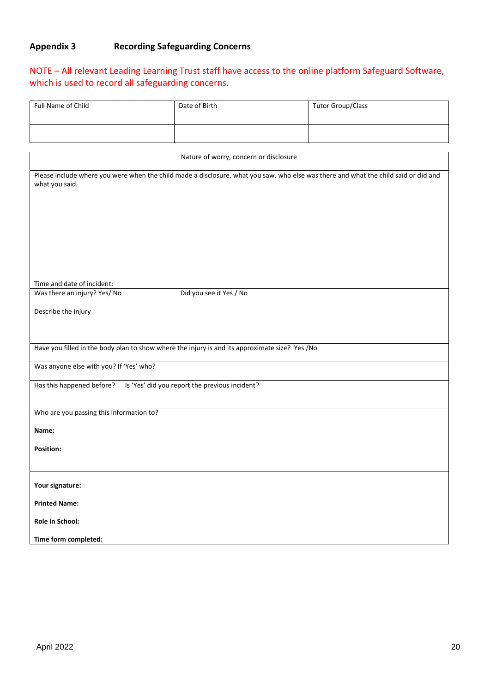# **Appendix 3 Recording Safeguarding Concerns**

# NOTE – All relevant Leading Learning Trust staff have access to the online platform Safeguard Software, which is used to record all safeguarding concerns.

| <b>Full Name of Child</b>                                                                                                                             | Date of Birth           | <b>Tutor Group/Class</b> |
|-------------------------------------------------------------------------------------------------------------------------------------------------------|-------------------------|--------------------------|
|                                                                                                                                                       |                         |                          |
|                                                                                                                                                       |                         |                          |
| Nature of worry, concern or disclosure                                                                                                                |                         |                          |
| Please include where you were when the child made a disclosure, what you saw, who else was there and what the child said or did and<br>what you said. |                         |                          |
|                                                                                                                                                       |                         |                          |
|                                                                                                                                                       |                         |                          |
|                                                                                                                                                       |                         |                          |
|                                                                                                                                                       |                         |                          |
| Time and date of incident:                                                                                                                            |                         |                          |
| Was there an injury? Yes/ No                                                                                                                          | Did you see it Yes / No |                          |
| Describe the injury                                                                                                                                   |                         |                          |
|                                                                                                                                                       |                         |                          |
| Have you filled in the body plan to show where the injury is and its approximate size? Yes /No                                                        |                         |                          |
| Was anyone else with you? If 'Yes' who?                                                                                                               |                         |                          |
| Is 'Yes' did you report the previous incident?<br>Has this happened before?                                                                           |                         |                          |
|                                                                                                                                                       |                         |                          |
| Who are you passing this information to?                                                                                                              |                         |                          |
| Name:                                                                                                                                                 |                         |                          |
| <b>Position:</b>                                                                                                                                      |                         |                          |
|                                                                                                                                                       |                         |                          |
| Your signature:                                                                                                                                       |                         |                          |
| <b>Printed Name:</b>                                                                                                                                  |                         |                          |
| Role in School:                                                                                                                                       |                         |                          |
| Time form completed:                                                                                                                                  |                         |                          |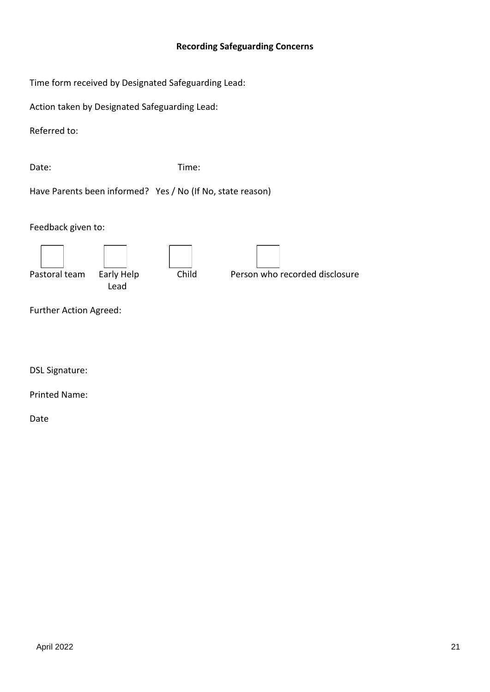#### **Recording Safeguarding Concerns**

Time form received by Designated Safeguarding Lead:

Action taken by Designated Safeguarding Lead:

Referred to:

Date: Time:

Have Parents been informed? Yes / No (If No, state reason)

Feedback given to:



Further Action Agreed:

DSL Signature:

Printed Name:

Date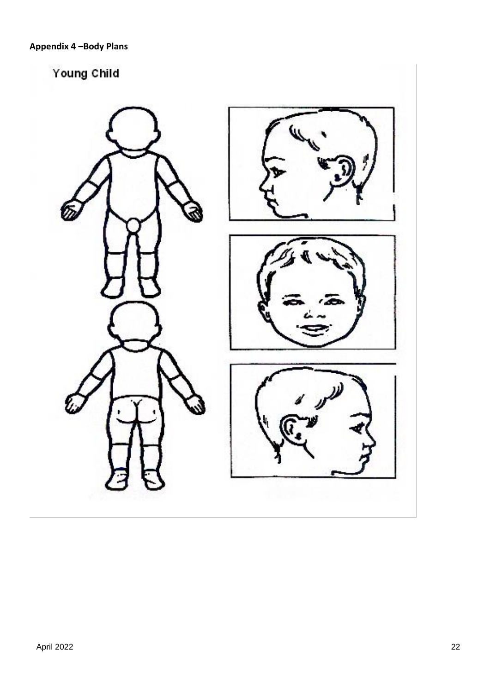# Young Child

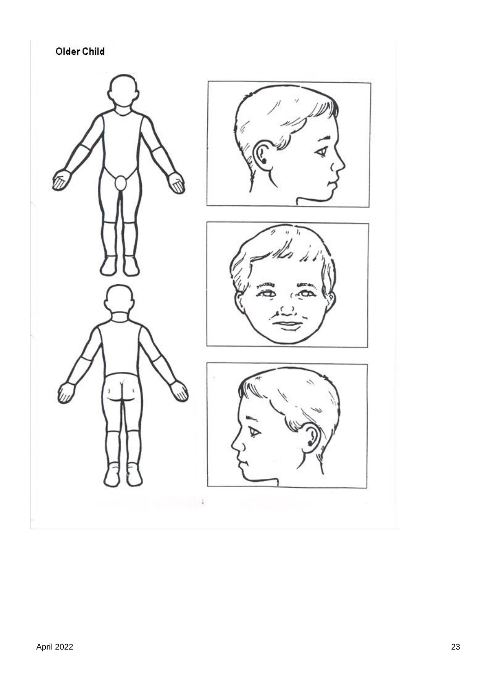Older Child